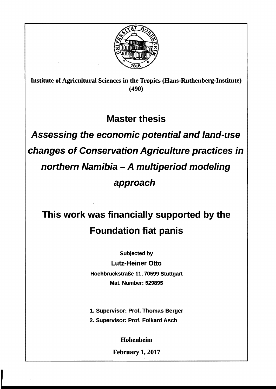

Institute of Agricultural Sciences in the Tropics (Hans-Ruthenberg-Institute) (490)

## **Master thesis**

**Assessing the economic potential and land-use changes of Conservation Agriculture practices in northern Namibia - A multiperiod modeling approach** 

## **This work was financially supported by the Foundation fiat panis**

Subjected by

Lutz-Heiner Otto

Hochbruckstraße 11, 70599 Stuttgart Mat. Number: 529895

1. Supervisor: Prof. Thomas Berger

2. Supervisor: Prof. Folkard Asch

Hohenheim

February 1, 2017

,